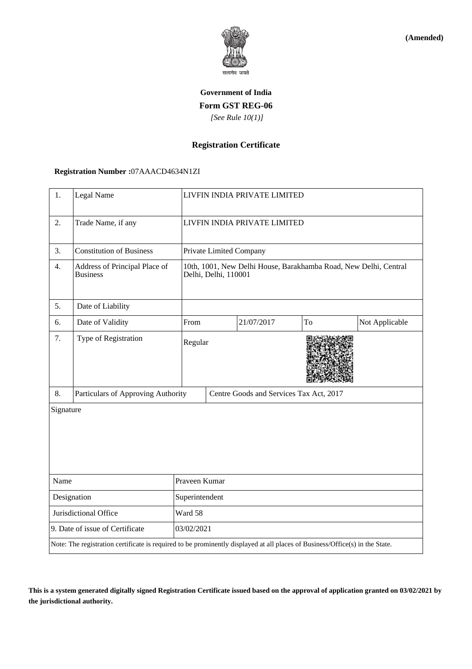

**(Amended)**

# **Government of India Form GST REG-06**  *[See Rule 10(1)]*

## **Registration Certificate**

#### **Registration Number :**07AAACD4634N1ZI

| 1.                                                                                                                           | Legal Name                                       |               | LIVFIN INDIA PRIVATE LIMITED                                                             |            |    |                |  |
|------------------------------------------------------------------------------------------------------------------------------|--------------------------------------------------|---------------|------------------------------------------------------------------------------------------|------------|----|----------------|--|
| 2.                                                                                                                           | Trade Name, if any                               |               | LIVFIN INDIA PRIVATE LIMITED                                                             |            |    |                |  |
| 3.                                                                                                                           | <b>Constitution of Business</b>                  |               | Private Limited Company                                                                  |            |    |                |  |
| 4.                                                                                                                           | Address of Principal Place of<br><b>Business</b> |               | 10th, 1001, New Delhi House, Barakhamba Road, New Delhi, Central<br>Delhi, Delhi, 110001 |            |    |                |  |
| 5.                                                                                                                           | Date of Liability                                |               |                                                                                          |            |    |                |  |
| 6.                                                                                                                           | Date of Validity                                 | From          |                                                                                          | 21/07/2017 | To | Not Applicable |  |
| 7.                                                                                                                           | Type of Registration                             |               | Regular                                                                                  |            |    |                |  |
| 8.                                                                                                                           | Particulars of Approving Authority               |               | Centre Goods and Services Tax Act, 2017                                                  |            |    |                |  |
| Signature                                                                                                                    |                                                  |               |                                                                                          |            |    |                |  |
| Name                                                                                                                         |                                                  | Praveen Kumar |                                                                                          |            |    |                |  |
| Designation                                                                                                                  |                                                  |               | Superintendent                                                                           |            |    |                |  |
| Jurisdictional Office                                                                                                        |                                                  | Ward 58       |                                                                                          |            |    |                |  |
| 9. Date of issue of Certificate                                                                                              |                                                  |               | 03/02/2021                                                                               |            |    |                |  |
| Note: The registration certificate is required to be prominently displayed at all places of Business/Office(s) in the State. |                                                  |               |                                                                                          |            |    |                |  |

**This is a system generated digitally signed Registration Certificate issued based on the approval of application granted on 03/02/2021 by the jurisdictional authority.**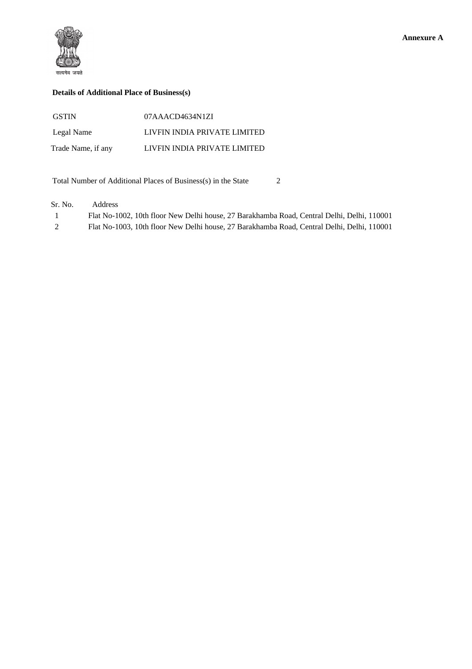

## **Details of Additional Place of Business(s)**

| <b>GSTIN</b>       | 07AAACD4634N1ZI              |
|--------------------|------------------------------|
| Legal Name         | LIVFIN INDIA PRIVATE LIMITED |
| Trade Name, if any | LIVFIN INDIA PRIVATE LIMITED |

Total Number of Additional Places of Business(s) in the State 2

Sr. No. Address

| $\mathbf{1}$ | Flat No-1002, 10th floor New Delhi house, 27 Barakhamba Road, Central Delhi, Delhi, 110001 |
|--------------|--------------------------------------------------------------------------------------------|
| 2            | Flat No-1003, 10th floor New Delhi house, 27 Barakhamba Road, Central Delhi, Delhi, 110001 |